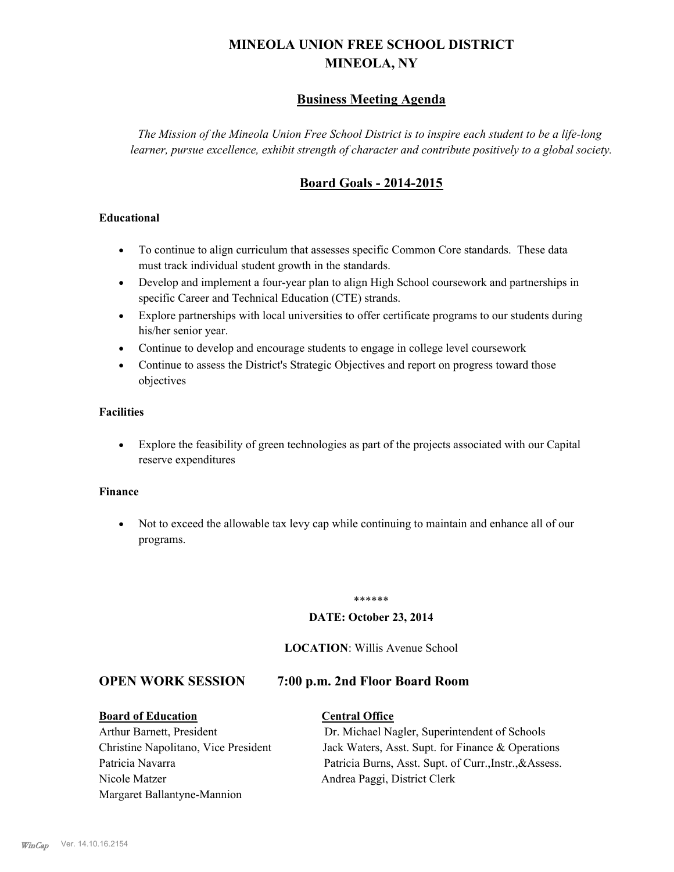# **MINEOLA UNION FREE SCHOOL DISTRICT MINEOLA, NY**

# **Business Meeting Agenda**

*The Mission of the Mineola Union Free School District is to inspire each student to be a life-long learner, pursue excellence, exhibit strength of character and contribute positively to a global society.*

# **Board Goals - 2014-2015**

## **Educational**

- · To continue to align curriculum that assesses specific Common Core standards. These data must track individual student growth in the standards.
- · Develop and implement a four-year plan to align High School coursework and partnerships in specific Career and Technical Education (CTE) strands.
- · Explore partnerships with local universities to offer certificate programs to our students during his/her senior year.
- · Continue to develop and encourage students to engage in college level coursework
- Continue to assess the District's Strategic Objectives and report on progress toward those objectives

### **Facilities**

· Explore the feasibility of green technologies as part of the projects associated with our Capital reserve expenditures

### **Finance**

· Not to exceed the allowable tax levy cap while continuing to maintain and enhance all of our programs.

### \*\*\*\*\*\*

### **DATE: October 23, 2014**

### **LOCATION**: Willis Avenue School

## **OPEN WORK SESSION 7:00 p.m. 2nd Floor Board Room**

## **Board of Education Central Office**

Nicole Matzer Andrea Paggi, District Clerk Margaret Ballantyne-Mannion

Arthur Barnett, President Dr. Michael Nagler, Superintendent of Schools Christine Napolitano, Vice President Jack Waters, Asst. Supt. for Finance & Operations Patricia Navarra Patricia Burns, Asst. Supt. of Curr., Instr., &Assess.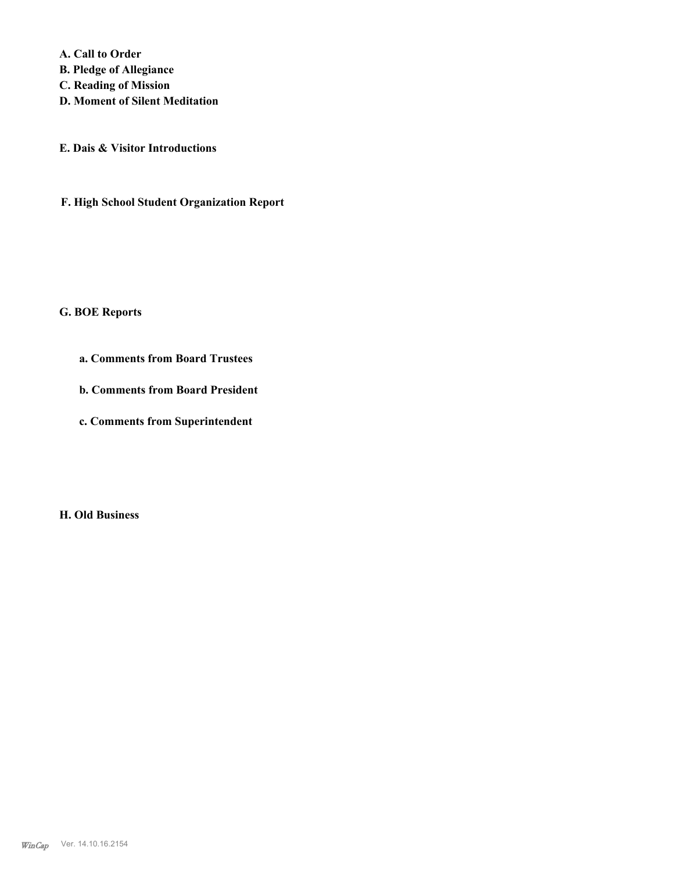**A. Call to Order B. Pledge of Allegiance C. Reading of Mission D. Moment of Silent Meditation**

**E. Dais & Visitor Introductions**

**F. High School Student Organization Report**

### **G. BOE Reports**

- **a. Comments from Board Trustees**
- **b. Comments from Board President**
- **c. Comments from Superintendent**

**H. Old Business**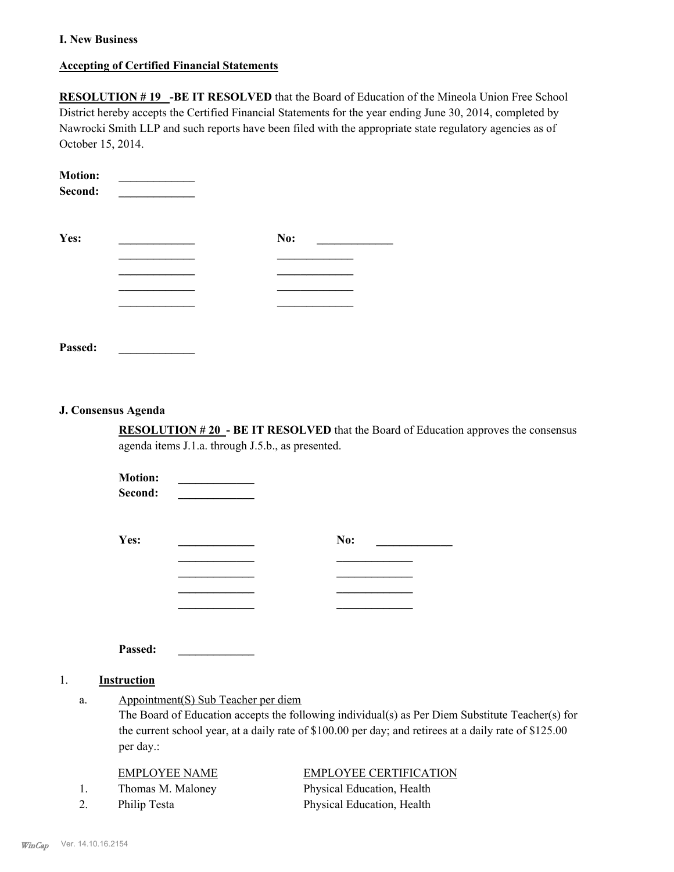### **I. New Business**

### **Accepting of Certified Financial Statements**

**RESOLUTION #19 -BE IT RESOLVED** that the Board of Education of the Mineola Union Free School District hereby accepts the Certified Financial Statements for the year ending June 30, 2014, completed by Nawrocki Smith LLP and such reports have been filed with the appropriate state regulatory agencies as of October 15, 2014.

| <b>Motion:</b><br>Second: |     |
|---------------------------|-----|
| Yes:                      | No: |
|                           |     |
|                           |     |
|                           |     |
|                           |     |
| Passed:                   |     |

### **J. Consensus Agenda**

**RESOLUTION # 20 - BE IT RESOLVED** that the Board of Education approves the consensus agenda items J.1.a. through J.5.b., as presented.

**Motion: \_\_\_\_\_\_\_\_\_\_\_\_\_**   $\bf Second:$ 

| Yes: | No: |
|------|-----|
|      |     |
|      |     |
|      |     |
|      |     |

**Passed: \_\_\_\_\_\_\_\_\_\_\_\_\_**

### 1. **Instruction**

Appointment(S) Sub Teacher per diem a.

> The Board of Education accepts the following individual(s) as Per Diem Substitute Teacher(s) for the current school year, at a daily rate of \$100.00 per day; and retirees at a daily rate of \$125.00 per day.:

### EMPLOYEE NAME EMPLOYEE CERTIFICATION

1. Thomas M. Maloney Physical Education, Health 2. Philip Testa Physical Education, Health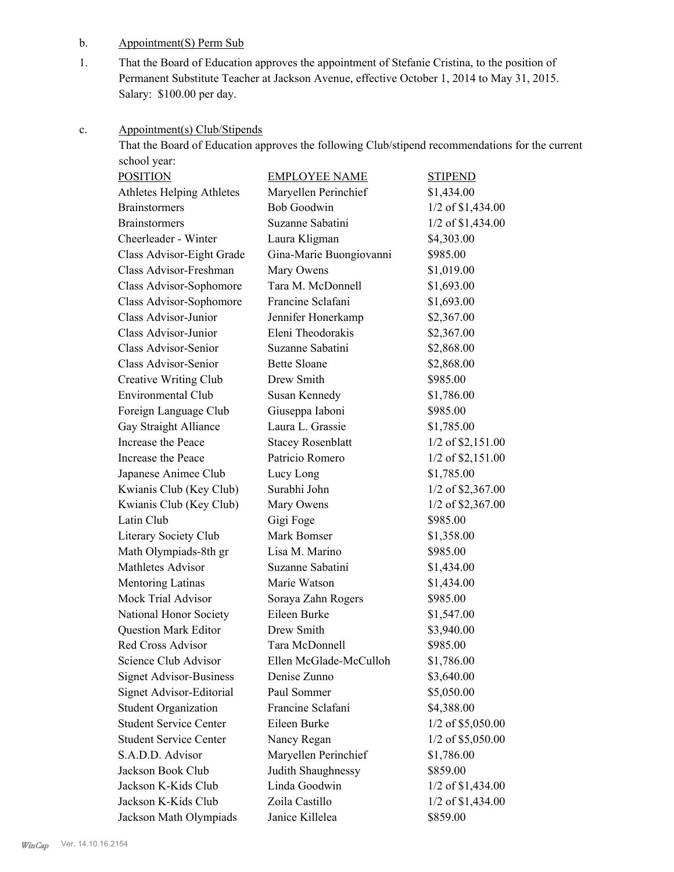# b. Appointment(S) Perm Sub

That the Board of Education approves the appointment of Stefanie Cristina, to the position of Permanent Substitute Teacher at Jackson Avenue, effective October 1, 2014 to May 31, 2015. Salary: \$100.00 per day. 1.

### Appointment(s) Club/Stipends c.

That the Board of Education approves the following Club/stipend recommendations for the current school year:

| <b>POSITION</b>                | <b>EMPLOYEE NAME</b>     | <b>STIPEND</b>      |
|--------------------------------|--------------------------|---------------------|
| Athletes Helping Athletes      | Maryellen Perinchief     | \$1,434.00          |
| <b>Brainstormers</b>           | <b>Bob Goodwin</b>       | 1/2 of \$1,434.00   |
| <b>Brainstormers</b>           | Suzanne Sabatini         | 1/2 of \$1,434.00   |
| Cheerleader - Winter           | Laura Kligman            | \$4,303.00          |
| Class Advisor-Eight Grade      | Gina-Marie Buongiovanni  | \$985.00            |
| Class Advisor-Freshman         | Mary Owens               | \$1,019.00          |
| Class Advisor-Sophomore        | Tara M. McDonnell        | \$1,693.00          |
| Class Advisor-Sophomore        | Francine Sclafani        | \$1,693.00          |
| Class Advisor-Junior           | Jennifer Honerkamp       | \$2,367.00          |
| Class Advisor-Junior           | Eleni Theodorakis        | \$2,367.00          |
| Class Advisor-Senior           | Suzanne Sabatini         | \$2,868.00          |
| Class Advisor-Senior           | <b>Bette Sloane</b>      | \$2,868.00          |
| Creative Writing Club          | Drew Smith               | \$985.00            |
| <b>Environmental Club</b>      | Susan Kennedy            | \$1,786.00          |
| Foreign Language Club          | Giuseppa Iaboni          | \$985.00            |
| Gay Straight Alliance          | Laura L. Grassie         | \$1,785.00          |
| Increase the Peace             | <b>Stacey Rosenblatt</b> | $1/2$ of \$2,151.00 |
| Increase the Peace             | Patricio Romero          | $1/2$ of \$2,151.00 |
| Japanese Animee Club           | Lucy Long                | \$1,785.00          |
| Kwianis Club (Key Club)        | Surabhi John             | 1/2 of \$2,367.00   |
| Kwianis Club (Key Club)        | Mary Owens               | 1/2 of \$2,367.00   |
| Latin Club                     | Gigi Foge                | \$985.00            |
| Literary Society Club          | Mark Bomser              | \$1,358.00          |
| Math Olympiads-8th gr          | Lisa M. Marino           | \$985.00            |
| Mathletes Advisor              | Suzanne Sabatini         | \$1,434.00          |
| Mentoring Latinas              | Marie Watson             | \$1,434.00          |
| <b>Mock Trial Advisor</b>      | Soraya Zahn Rogers       | \$985.00            |
| National Honor Society         | Eileen Burke             | \$1,547.00          |
| <b>Question Mark Editor</b>    | Drew Smith               | \$3,940.00          |
| Red Cross Advisor              | Tara McDonnell           | \$985.00            |
| Science Club Advisor           | Ellen McGlade-McCulloh   | \$1,786.00          |
| <b>Signet Advisor-Business</b> | Denise Zunno             | \$3,640.00          |
| Signet Advisor-Editorial       | Paul Sommer              | \$5,050.00          |
| <b>Student Organization</b>    | Francine Sclafani        | \$4,388.00          |
| <b>Student Service Center</b>  | Eileen Burke             | $1/2$ of \$5,050.00 |
| <b>Student Service Center</b>  | Nancy Regan              | $1/2$ of \$5,050.00 |
| S.A.D.D. Advisor               | Maryellen Perinchief     | \$1,786.00          |
| Jackson Book Club              | Judith Shaughnessy       | \$859.00            |
| Jackson K-Kids Club            | Linda Goodwin            | 1/2 of \$1,434.00   |
| Jackson K-Kids Club            | Zoila Castillo           | $1/2$ of \$1,434.00 |
| Jackson Math Olympiads         | Janice Killelea          | \$859.00            |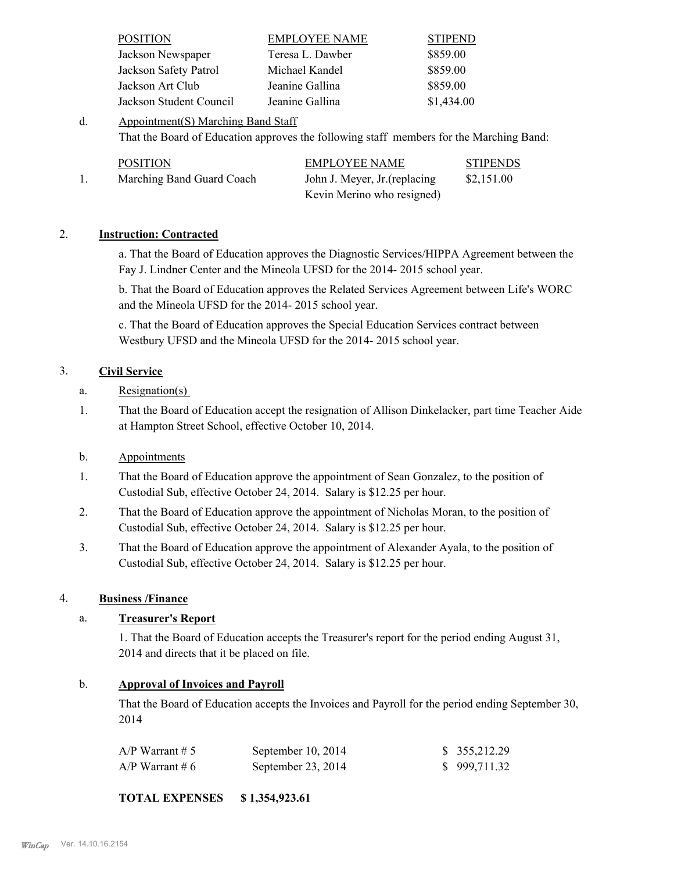| <b>POSITION</b>         | <b>EMPLOYEE NAME</b> | <b>STIPEND</b> |
|-------------------------|----------------------|----------------|
| Jackson Newspaper       | Teresa L. Dawber     | \$859.00       |
| Jackson Safety Patrol   | Michael Kandel       | \$859.00       |
| Jackson Art Club        | Jeanine Gallina      | \$859.00       |
| Jackson Student Council | Jeanine Gallina      | \$1,434.00     |

Appointment(S) Marching Band Staff That the Board of Education approves the following staff members for the Marching Band: d.

| <b>POSITION</b>           | <b>EMPLOYEE NAME</b>          | <b>STIPENDS</b> |
|---------------------------|-------------------------------|-----------------|
| Marching Band Guard Coach | John J. Meyer, Jr. (replacing | \$2,151.00      |
|                           | Kevin Merino who resigned)    |                 |

## 2. **Instruction: Contracted**

a. That the Board of Education approves the Diagnostic Services/HIPPA Agreement between the Fay J. Lindner Center and the Mineola UFSD for the 2014- 2015 school year.

b. That the Board of Education approves the Related Services Agreement between Life's WORC and the Mineola UFSD for the 2014- 2015 school year.

c. That the Board of Education approves the Special Education Services contract between Westbury UFSD and the Mineola UFSD for the 2014- 2015 school year.

# 3. **Civil Service**

- a. Resignation(s)
- That the Board of Education accept the resignation of Allison Dinkelacker, part time Teacher Aide at Hampton Street School, effective October 10, 2014. 1.
- b. Appointments
- That the Board of Education approve the appointment of Sean Gonzalez, to the position of Custodial Sub, effective October 24, 2014. Salary is \$12.25 per hour. 1.
- That the Board of Education approve the appointment of Nicholas Moran, to the position of Custodial Sub, effective October 24, 2014. Salary is \$12.25 per hour. 2.
- That the Board of Education approve the appointment of Alexander Ayala, to the position of Custodial Sub, effective October 24, 2014. Salary is \$12.25 per hour. 3.

# 4. **Business /Finance**

# a. **Treasurer's Report**

1. That the Board of Education accepts the Treasurer's report for the period ending August 31, 2014 and directs that it be placed on file.

# b. **Approval of Invoices and Payroll**

That the Board of Education accepts the Invoices and Payroll for the period ending September 30, 2014

| A/P Warrant # 5 | September $10, 2014$ | \$355,212.29 |
|-----------------|----------------------|--------------|
| A/P Warrant # 6 | September 23, 2014   | \$999,711.32 |

**TOTAL EXPENSES \$ 1,354,923.61**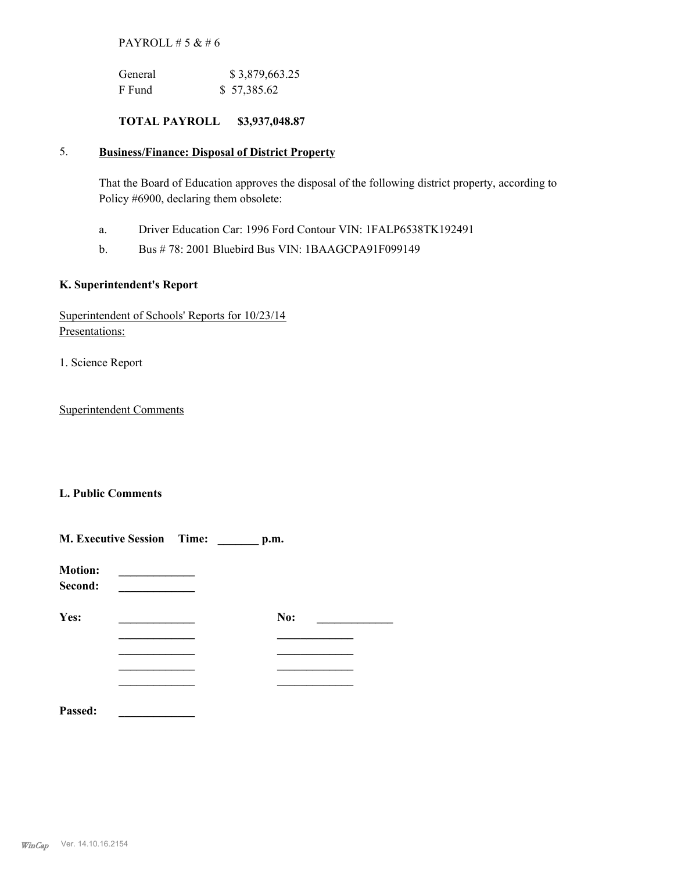# PAYROLL  $# 5 & 46$

| General | \$3,879,663.25 |
|---------|----------------|
| F Fund  | \$57,385.62    |

# **TOTAL PAYROLL \$3,937,048.87**

### **Business/Finance: Disposal of District Property** 5.

That the Board of Education approves the disposal of the following district property, according to Policy #6900, declaring them obsolete:

- a. Driver Education Car: 1996 Ford Contour VIN: 1FALP6538TK192491
- b. Bus # 78: 2001 Bluebird Bus VIN: 1BAAGCPA91F099149

# **K. Superintendent's Report**

| Superintendent of Schools' Reports for 10/23/14 |  |  |
|-------------------------------------------------|--|--|
| Presentations:                                  |  |  |

1. Science Report

Superintendent Comments

# **L. Public Comments**

|                           | <b>M. Executive Session Time:</b> |  | p.m. |  |
|---------------------------|-----------------------------------|--|------|--|
| <b>Motion:</b><br>Second: |                                   |  |      |  |
| Yes:                      |                                   |  | No:  |  |
|                           |                                   |  |      |  |
|                           |                                   |  |      |  |
|                           |                                   |  |      |  |
| Passed:                   |                                   |  |      |  |